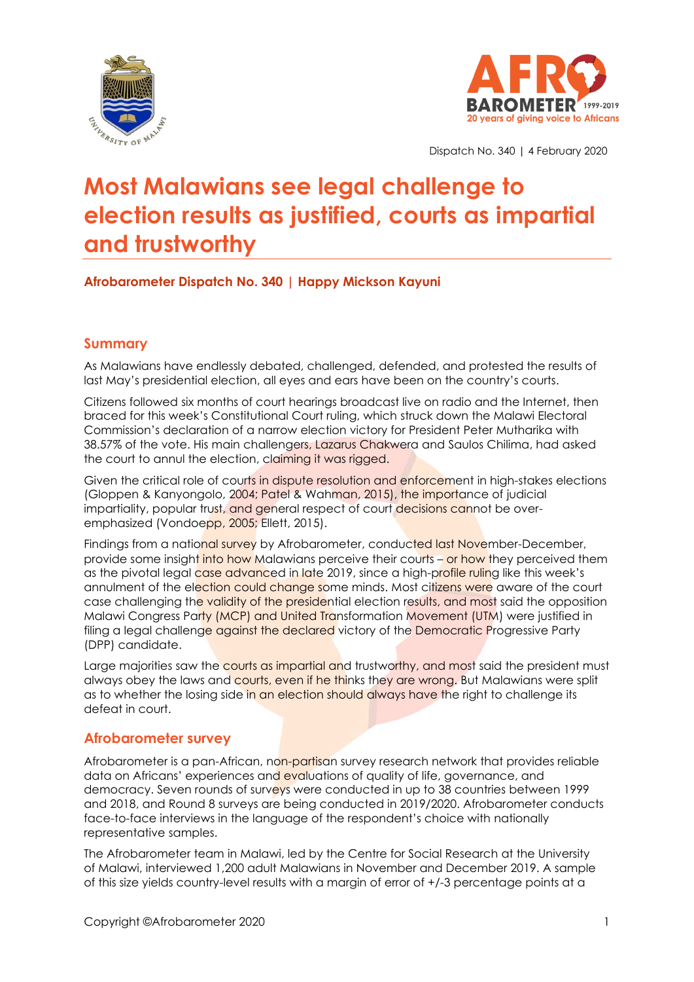



Dispatch No. 340 | 4 February 2020

# **Most Malawians see legal challenge to election results as justified, courts as impartial and trustworthy**

# **Afrobarometer Dispatch No. 340 | Happy Mickson Kayuni**

# **Summary**

As Malawians have endlessly debated, challenged, defended, and protested the results of last May's presidential election, all eyes and ears have been on the country's courts.

Citizens followed six months of court hearings broadcast live on radio and the Internet, then braced for this week's Constitutional Court ruling, which struck down the Malawi Electoral Commission's declaration of a narrow election victory for President Peter Mutharika with 38.57% of the vote. His main challengers, Lazarus Chakwera and Saulos Chilima, had asked the court to annul the election, claiming it was rigged.

Given the critical role of courts in dispute resolution and enforcement in high-stakes elections (Gloppen & Kanyongolo, 2004; Patel & Wahman, 2015), the importance of judicial impartiality, popular trust, and general respect of court decisions cannot be overemphasized (Vondoepp, 2005; Ellett, 2015).

Findings from a national survey by Afrobarometer, conducted last November-December, provide some insight into how Malawians perceive their courts – or how they perceived them as the pivotal legal case advanced in late 2019, since a high-profile ruling like this week's annulment of the election could change some minds. Most citizens were aware of the court case challenging the validity of the presidential election results, and most said the opposition Malawi Congress Party (MCP) and United Transformation Movement (UTM) were justified in filing a legal challenge against the declared victory of the Democratic Progressive Party (DPP) candidate.

Large majorities saw the courts as impartial and trustworthy, and most said the president must always obey the laws and courts, even if he thinks they are wrong. But Malawians were split as to whether the losing side in an election should always have the right to challenge its defeat in court.

## **Afrobarometer survey**

Afrobarometer is a pan-African, non-partisan survey research network that provides reliable data on Africans' experiences and evaluations of quality of life, governance, and democracy. Seven rounds of surveys were conducted in up to 38 countries between 1999 and 2018, and Round 8 surveys are being conducted in 2019/2020. Afrobarometer conducts face-to-face interviews in the language of the respondent's choice with nationally representative samples.

The Afrobarometer team in Malawi, led by the Centre for Social Research at the University of Malawi, interviewed 1,200 adult Malawians in November and December 2019. A sample of this size yields country-level results with a margin of error of +/-3 percentage points at a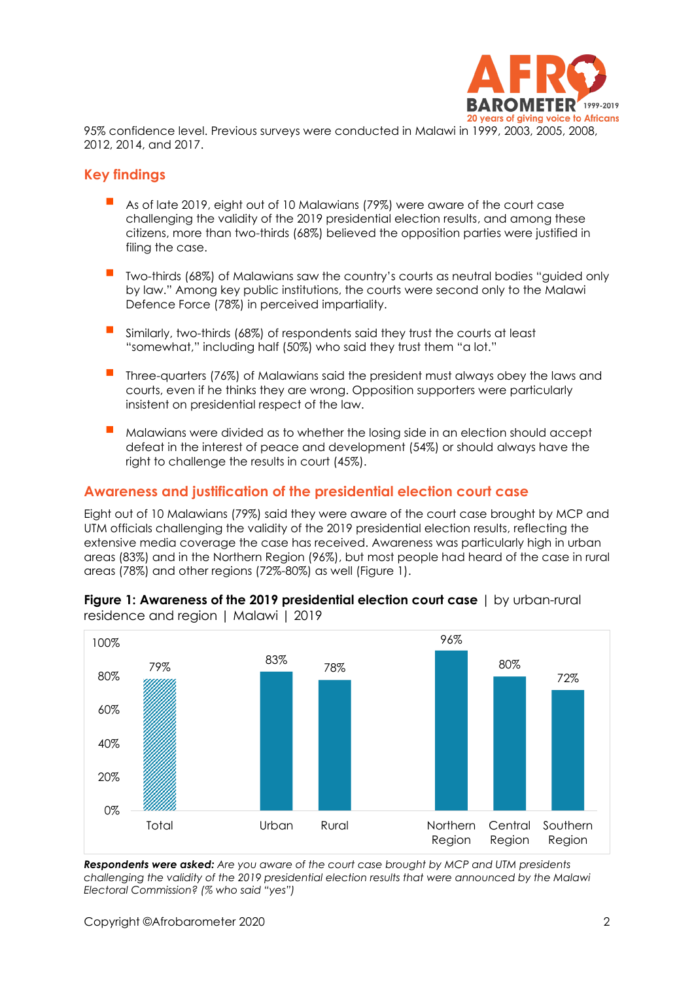

95% confidence level. Previous surveys were conducted in Malawi in 1999, 2003, 2005, 2008, 2012, 2014, and 2017.

## **Key findings**

- As of late 2019, eight out of 10 Malawians (79%) were aware of the court case challenging the validity of the 2019 presidential election results, and among these citizens, more than two-thirds (68%) believed the opposition parties were justified in filing the case.
- Two-thirds (68%) of Malawians saw the country's courts as neutral bodies "auided only by law." Among key public institutions, the courts were second only to the Malawi Defence Force (78%) in perceived impartiality.
- Similarly, two-thirds (68%) of respondents said they trust the courts at least "somewhat," including half (50%) who said they trust them "a lot."
- Three-quarters (76%) of Malawians said the president must always obey the laws and courts, even if he thinks they are wrong. Opposition supporters were particularly insistent on presidential respect of the law.
- Malawians were divided as to whether the losing side in an election should accept defeat in the interest of peace and development (54%) or should always have the right to challenge the results in court (45%).

### **Awareness and justification of the presidential election court case**

Eight out of 10 Malawians (79%) said they were aware of the court case brought by MCP and UTM officials challenging the validity of the 2019 presidential election results, reflecting the extensive media coverage the case has received. Awareness was particularly high in urban areas (83%) and in the Northern Region (96%), but most people had heard of the case in rural areas (78%) and other regions (72%-80%) as well (Figure 1).



**Figure 1: Awareness of the 2019 presidential election court case** | by urban-rural residence and region | Malawi | 2019

*Respondents were asked: Are you aware of the court case brought by MCP and UTM presidents challenging the validity of the 2019 presidential election results that were announced by the Malawi Electoral Commission? (% who said "yes")*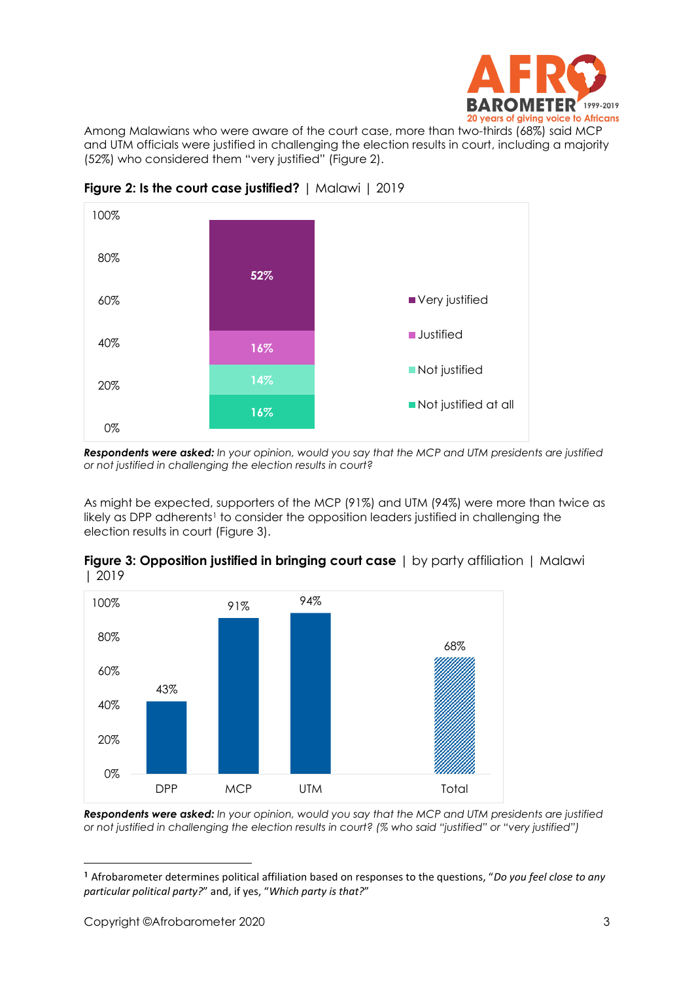

Among Malawians who were aware of the court case, more than two-thirds (68%) said MCP and UTM officials were justified in challenging the election results in court, including a majority (52%) who considered them "very justified" (Figure 2).



**Figure 2: Is the court case justified?** | Malawi | 2019

*Respondents were asked: In your opinion, would you say that the MCP and UTM presidents are justified or not justified in challenging the election results in court?*

As might be expected, supporters of the MCP (91%) and UTM (94%) were more than twice as likely as DPP adherents<sup>1</sup> to consider the opposition leaders justified in challenging the election results in court (Figure 3).



**Figure 3: Opposition justified in bringing court case** | by party affiliation | Malawi | 2019

*Respondents were asked: In your opinion, would you say that the MCP and UTM presidents are justified or not justified in challenging the election results in court? (% who said "justified" or "very justified")*

**<sup>1</sup>** Afrobarometer determines political affiliation based on responses to the questions, "*Do you feel close to any particular political party?*" and, if yes, "*Which party is that?*"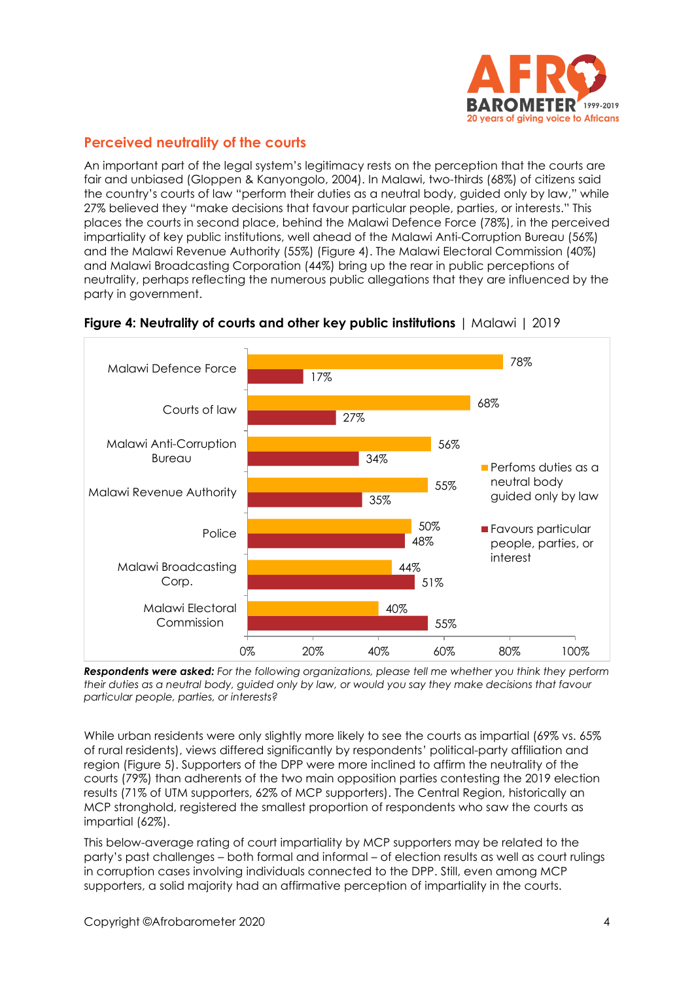

# **Perceived neutrality of the courts**

An important part of the legal system's legitimacy rests on the perception that the courts are fair and unbiased (Gloppen & Kanyongolo, 2004). In Malawi, two-thirds (68%) of citizens said the country's courts of law "perform their duties as a neutral body, guided only by law," while 27% believed they "make decisions that favour particular people, parties, or interests." This places the courts in second place, behind the Malawi Defence Force (78%), in the perceived impartiality of key public institutions, well ahead of the Malawi Anti-Corruption Bureau (56%) and the Malawi Revenue Authority (55%) (Figure 4). The Malawi Electoral Commission (40%) and Malawi Broadcasting Corporation (44%) bring up the rear in public perceptions of neutrality, perhaps reflecting the numerous public allegations that they are influenced by the party in government.



#### **Figure 4: Neutrality of courts and other key public institutions** | Malawi | 2019

*Respondents were asked: For the following organizations, please tell me whether you think they perform their duties as a neutral body, guided only by law, or would you say they make decisions that favour particular people, parties, or interests?*

While urban residents were only slightly more likely to see the courts as impartial (69% vs. 65%) of rural residents), views differed significantly by respondents' political-party affiliation and region (Figure 5). Supporters of the DPP were more inclined to affirm the neutrality of the courts (79%) than adherents of the two main opposition parties contesting the 2019 election results (71% of UTM supporters, 62% of MCP supporters). The Central Region, historically an MCP stronghold, registered the smallest proportion of respondents who saw the courts as impartial (62%).

This below-average rating of court impartiality by MCP supporters may be related to the party's past challenges – both formal and informal – of election results as well as court rulings in corruption cases involving individuals connected to the DPP. Still, even among MCP supporters, a solid majority had an affirmative perception of impartiality in the courts.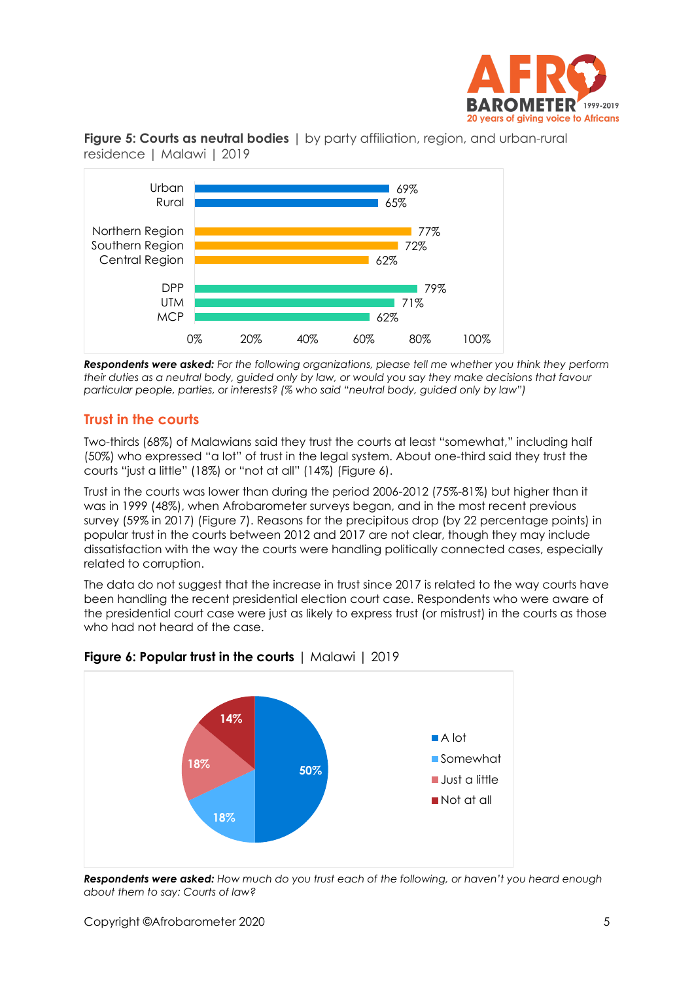





*Respondents were asked: For the following organizations, please tell me whether you think they perform their duties as a neutral body, guided only by law, or would you say they make decisions that favour particular people, parties, or interests? (% who said "neutral body, guided only by law")*

# **Trust in the courts**

Two-thirds (68%) of Malawians said they trust the courts at least "somewhat," including half (50%) who expressed "a lot" of trust in the legal system. About one-third said they trust the courts "just a little" (18%) or "not at all" (14%) (Figure 6).

Trust in the courts was lower than during the period 2006-2012 (75%-81%) but higher than it was in 1999 (48%), when Afrobarometer surveys began, and in the most recent previous survey (59% in 2017) (Figure 7). Reasons for the precipitous drop (by 22 percentage points) in popular trust in the courts between 2012 and 2017 are not clear, though they may include dissatisfaction with the way the courts were handling politically connected cases, especially related to corruption.

The data do not suggest that the increase in trust since 2017 is related to the way courts have been handling the recent presidential election court case. Respondents who were aware of the presidential court case were just as likely to express trust (or mistrust) in the courts as those who had not heard of the case.





*Respondents were asked: How much do you trust each of the following, or haven't you heard enough about them to say: Courts of law?*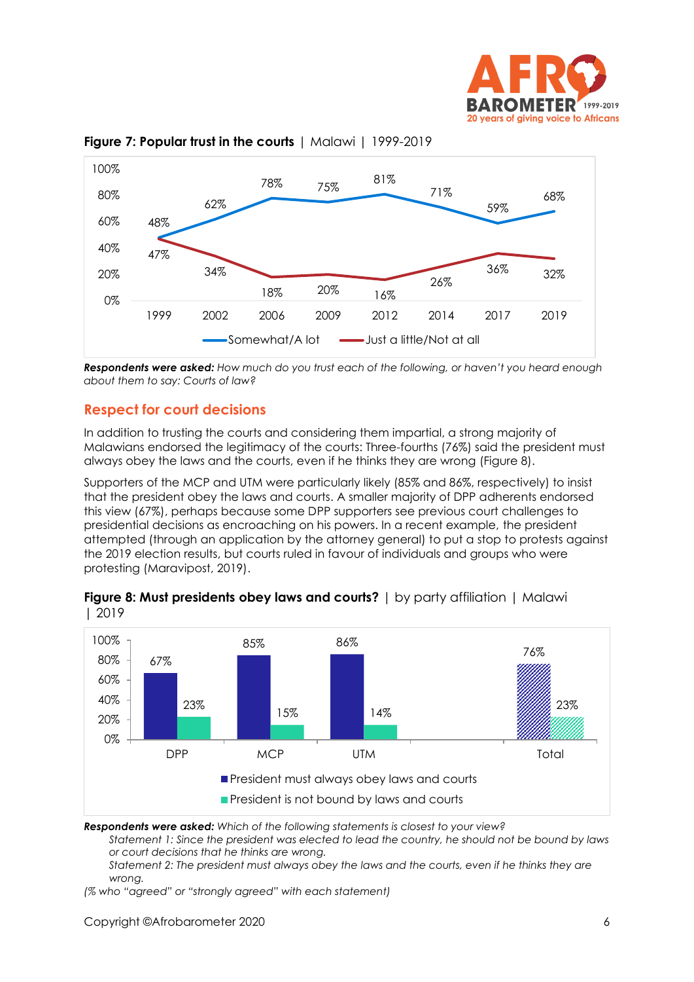





*Respondents were asked: How much do you trust each of the following, or haven't you heard enough about them to say: Courts of law?*

# **Respect for court decisions**

In addition to trusting the courts and considering them impartial, a strong majority of Malawians endorsed the legitimacy of the courts: Three-fourths (76%) said the president must always obey the laws and the courts, even if he thinks they are wrong (Figure 8).

Supporters of the MCP and UTM were particularly likely (85% and 86%, respectively) to insist that the president obey the laws and courts. A smaller majority of DPP adherents endorsed this view (67%), perhaps because some DPP supporters see previous court challenges to presidential decisions as encroaching on his powers. In a recent example, the president attempted (through an application by the attorney general) to put a stop to protests against the 2019 election results, but courts ruled in favour of individuals and groups who were protesting (Maravipost, 2019).



| <b>Figure 8: Must presidents obey laws and courts?</b>   by party affiliation   Malawi |  |  |
|----------------------------------------------------------------------------------------|--|--|
| 2019                                                                                   |  |  |

*Respondents were asked: Which of the following statements is closest to your view?* 

*Statement 1: Since the president was elected to lead the country, he should not be bound by laws or court decisions that he thinks are wrong.* 

*Statement 2: The president must always obey the laws and the courts, even if he thinks they are wrong.*

*(% who "agreed" or "strongly agreed" with each statement)*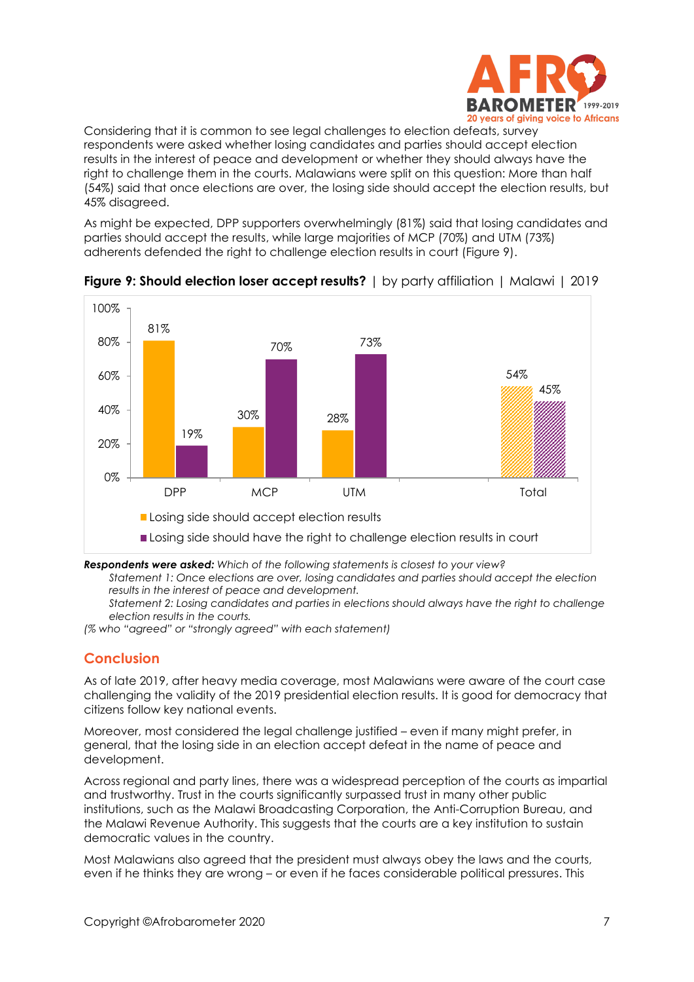

Considering that it is common to see legal challenges to election defeats, survey respondents were asked whether losing candidates and parties should accept election results in the interest of peace and development or whether they should always have the right to challenge them in the courts. Malawians were split on this question: More than half (54%) said that once elections are over, the losing side should accept the election results, but 45% disagreed.

As might be expected, DPP supporters overwhelmingly (81%) said that losing candidates and parties should accept the results, while large majorities of MCP (70%) and UTM (73%) adherents defended the right to challenge election results in court (Figure 9).



**Figure 9: Should election loser accept results?** | by party affiliation | Malawi | 2019

*Respondents were asked: Which of the following statements is closest to your view?* 

*Statement 1: Once elections are over, losing candidates and parties should accept the election results in the interest of peace and development.* 

*Statement 2: Losing candidates and parties in elections should always have the right to challenge election results in the courts.*

*(% who "agreed" or "strongly agreed" with each statement)*

# **Conclusion**

As of late 2019, after heavy media coverage, most Malawians were aware of the court case challenging the validity of the 2019 presidential election results. It is good for democracy that citizens follow key national events.

Moreover, most considered the legal challenge justified – even if many might prefer, in general, that the losing side in an election accept defeat in the name of peace and development.

Across regional and party lines, there was a widespread perception of the courts as impartial and trustworthy. Trust in the courts significantly surpassed trust in many other public institutions, such as the Malawi Broadcasting Corporation, the Anti-Corruption Bureau, and the Malawi Revenue Authority. This suggests that the courts are a key institution to sustain democratic values in the country.

Most Malawians also agreed that the president must always obey the laws and the courts, even if he thinks they are wrong – or even if he faces considerable political pressures. This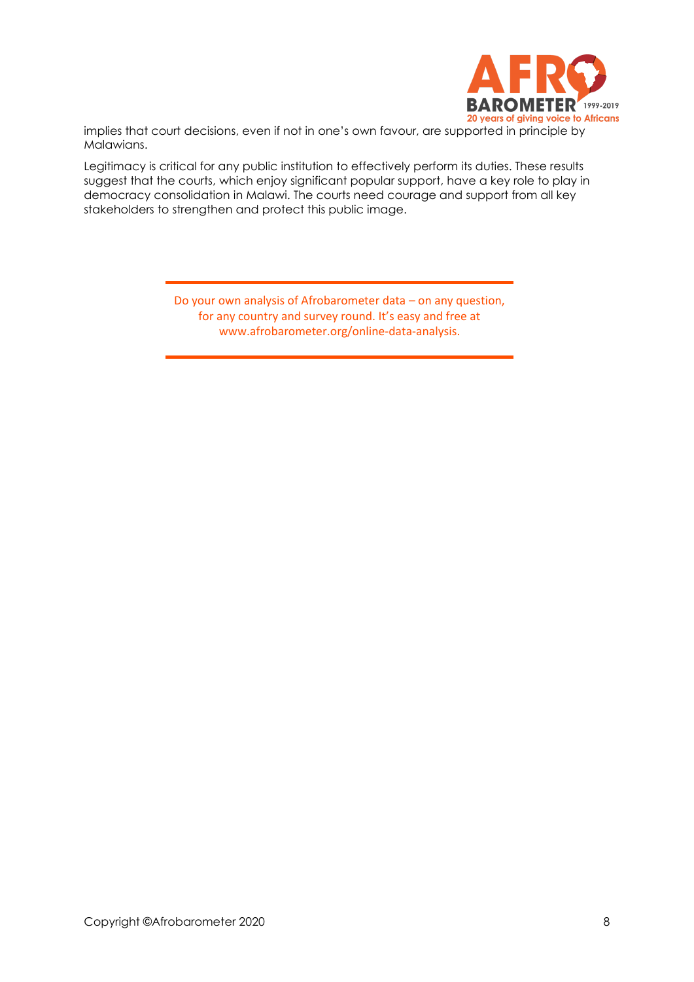

implies that court decisions, even if not in one's own favour, are supported in principle by Malawians.

Legitimacy is critical for any public institution to effectively perform its duties. These results suggest that the courts, which enjoy significant popular support, have a key role to play in democracy consolidation in Malawi. The courts need courage and support from all key stakeholders to strengthen and protect this public image.

> Do your own analysis of Afrobarometer data – on any question, for any country and survey round. It's easy and free at www.afrobarometer.org/online-data-analysis.